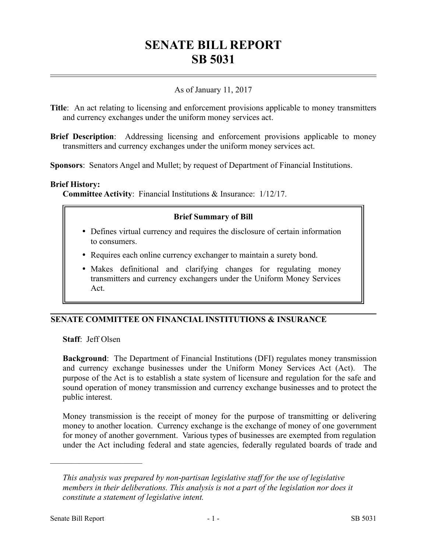# **SENATE BILL REPORT SB 5031**

## As of January 11, 2017

**Title**: An act relating to licensing and enforcement provisions applicable to money transmitters and currency exchanges under the uniform money services act.

**Brief Description:** Addressing licensing and enforcement provisions applicable to money transmitters and currency exchanges under the uniform money services act.

**Sponsors**: Senators Angel and Mullet; by request of Department of Financial Institutions.

#### **Brief History:**

**Committee Activity**: Financial Institutions & Insurance: 1/12/17.

#### **Brief Summary of Bill**

- Defines virtual currency and requires the disclosure of certain information to consumers.
- Requires each online currency exchanger to maintain a surety bond.
- Makes definitional and clarifying changes for regulating money transmitters and currency exchangers under the Uniform Money Services Act.

## **SENATE COMMITTEE ON FINANCIAL INSTITUTIONS & INSURANCE**

**Staff**: Jeff Olsen

––––––––––––––––––––––

**Background**: The Department of Financial Institutions (DFI) regulates money transmission and currency exchange businesses under the Uniform Money Services Act (Act). The purpose of the Act is to establish a state system of licensure and regulation for the safe and sound operation of money transmission and currency exchange businesses and to protect the public interest.

Money transmission is the receipt of money for the purpose of transmitting or delivering money to another location. Currency exchange is the exchange of money of one government for money of another government. Various types of businesses are exempted from regulation under the Act including federal and state agencies, federally regulated boards of trade and

*This analysis was prepared by non-partisan legislative staff for the use of legislative members in their deliberations. This analysis is not a part of the legislation nor does it constitute a statement of legislative intent.*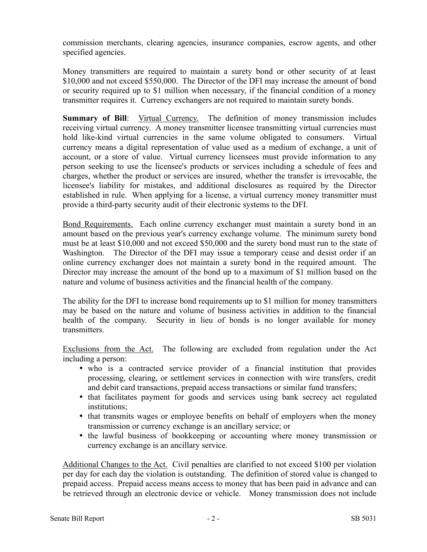commission merchants, clearing agencies, insurance companies, escrow agents, and other specified agencies.

Money transmitters are required to maintain a surety bond or other security of at least \$10,000 and not exceed \$550,000. The Director of the DFI may increase the amount of bond or security required up to \$1 million when necessary, if the financial condition of a money transmitter requires it. Currency exchangers are not required to maintain surety bonds.

**Summary of Bill**: Virtual Currency. The definition of money transmission includes receiving virtual currency. A money transmitter licensee transmitting virtual currencies must hold like-kind virtual currencies in the same volume obligated to consumers. Virtual currency means a digital representation of value used as a medium of exchange, a unit of account, or a store of value. Virtual currency licensees must provide information to any person seeking to use the licensee's products or services including a schedule of fees and charges, whether the product or services are insured, whether the transfer is irrevocable, the licensee's liability for mistakes, and additional disclosures as required by the Director established in rule. When applying for a license, a virtual currency money transmitter must provide a third-party security audit of their electronic systems to the DFI.

Bond Requirements. Each online currency exchanger must maintain a surety bond in an amount based on the previous year's currency exchange volume. The minimum surety bond must be at least \$10,000 and not exceed \$50,000 and the surety bond must run to the state of Washington. The Director of the DFI may issue a temporary cease and desist order if an online currency exchanger does not maintain a surety bond in the required amount. The Director may increase the amount of the bond up to a maximum of \$1 million based on the nature and volume of business activities and the financial health of the company.

The ability for the DFI to increase bond requirements up to \$1 million for money transmitters may be based on the nature and volume of business activities in addition to the financial health of the company. Security in lieu of bonds is no longer available for money transmitters.

Exclusions from the Act. The following are excluded from regulation under the Act including a person:

- who is a contracted service provider of a financial institution that provides processing, clearing, or settlement services in connection with wire transfers, credit and debit card transactions, prepaid access transactions or similar fund transfers;
- that facilitates payment for goods and services using bank secrecy act regulated institutions;
- that transmits wages or employee benefits on behalf of employers when the money transmission or currency exchange is an ancillary service; or
- the lawful business of bookkeeping or accounting where money transmission or currency exchange is an ancillary service.

Additional Changes to the Act. Civil penalties are clarified to not exceed \$100 per violation per day for each day the violation is outstanding. The definition of stored value is changed to prepaid access. Prepaid access means access to money that has been paid in advance and can be retrieved through an electronic device or vehicle. Money transmission does not include